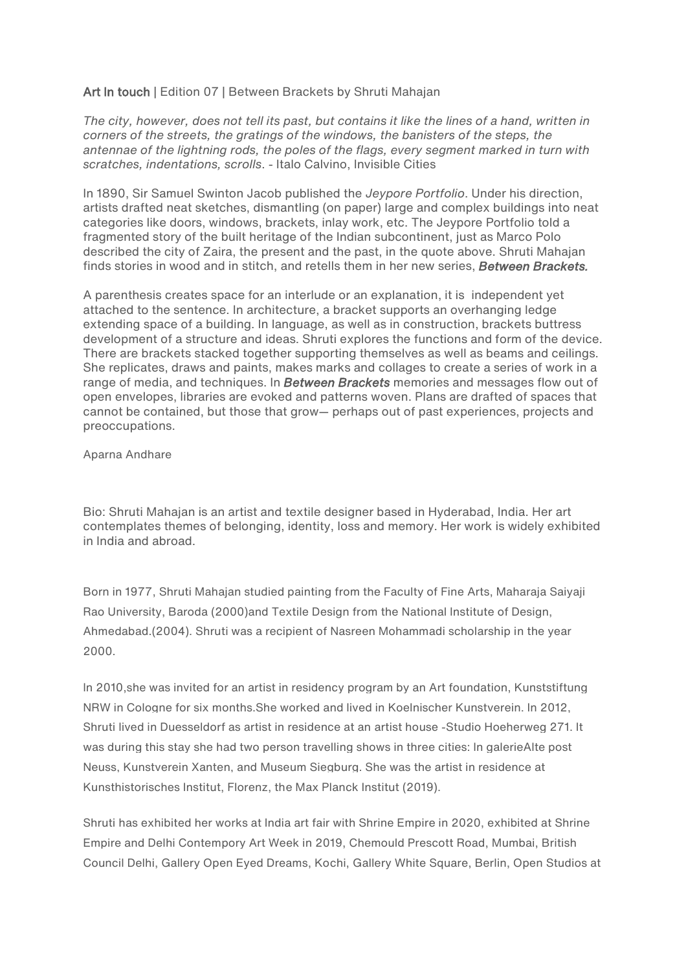## Art In touch | Edition 07 | Between Brackets by Shruti Mahajan

*The city, however, does not tell its past, but contains it like the lines of a hand, written in corners of the streets, the gratings of the windows, the banisters of the steps, the antennae of the lightning rods, the poles of the flags, every segment marked in turn with scratches, indentations, scrolls*. - Italo Calvino, Invisible Cities

In 1890, Sir Samuel Swinton Jacob published the *Jeypore Portfolio*. Under his direction, artists drafted neat sketches, dismantling (on paper) large and complex buildings into neat categories like doors, windows, brackets, inlay work, etc. The Jeypore Portfolio told a fragmented story of the built heritage of the Indian subcontinent, just as Marco Polo described the city of Zaira, the present and the past, in the quote above. Shruti Mahajan finds stories in wood and in stitch, and retells them in her new series, *Between Brackets.* 

A parenthesis creates space for an interlude or an explanation, it is independent yet attached to the sentence. In architecture, a bracket supports an overhanging ledge extending space of a building. In language, as well as in construction, brackets buttress development of a structure and ideas. Shruti explores the functions and form of the device. There are brackets stacked together supporting themselves as well as beams and ceilings. She replicates, draws and paints, makes marks and collages to create a series of work in a range of media, and techniques. In *Between Brackets* memories and messages flow out of open envelopes, libraries are evoked and patterns woven. Plans are drafted of spaces that cannot be contained, but those that grow— perhaps out of past experiences, projects and preoccupations.

## Aparna Andhare

Bio: Shruti Mahajan is an artist and textile designer based in Hyderabad, India. Her art contemplates themes of belonging, identity, loss and memory. Her work is widely exhibited in India and abroad.

Born in 1977, Shruti Mahajan studied painting from the Faculty of Fine Arts, Maharaja Saiyaji Rao University, Baroda (2000)and Textile Design from the National Institute of Design, Ahmedabad.(2004). Shruti was a recipient of Nasreen Mohammadi scholarship in the year 2000.

In 2010,she was invited for an artist in residency program by an Art foundation, Kunststiftung NRW in Cologne for six months.She worked and lived in Koelnischer Kunstverein. In 2012, Shruti lived in Duesseldorf as artist in residence at an artist house -Studio Hoeherweg 271. It was during this stay she had two person travelling shows in three cities: In galerieAlte post Neuss, Kunstverein Xanten, and Museum Siegburg. She was the artist in residence at Kunsthistorisches Institut, Florenz, the Max Planck Institut (2019).

Shruti has exhibited her works at India art fair with Shrine Empire in 2020, exhibited at Shrine Empire and Delhi Contempory Art Week in 2019, Chemould Prescott Road, Mumbai, British Council Delhi, Gallery Open Eyed Dreams, Kochi, Gallery White Square, Berlin, Open Studios at